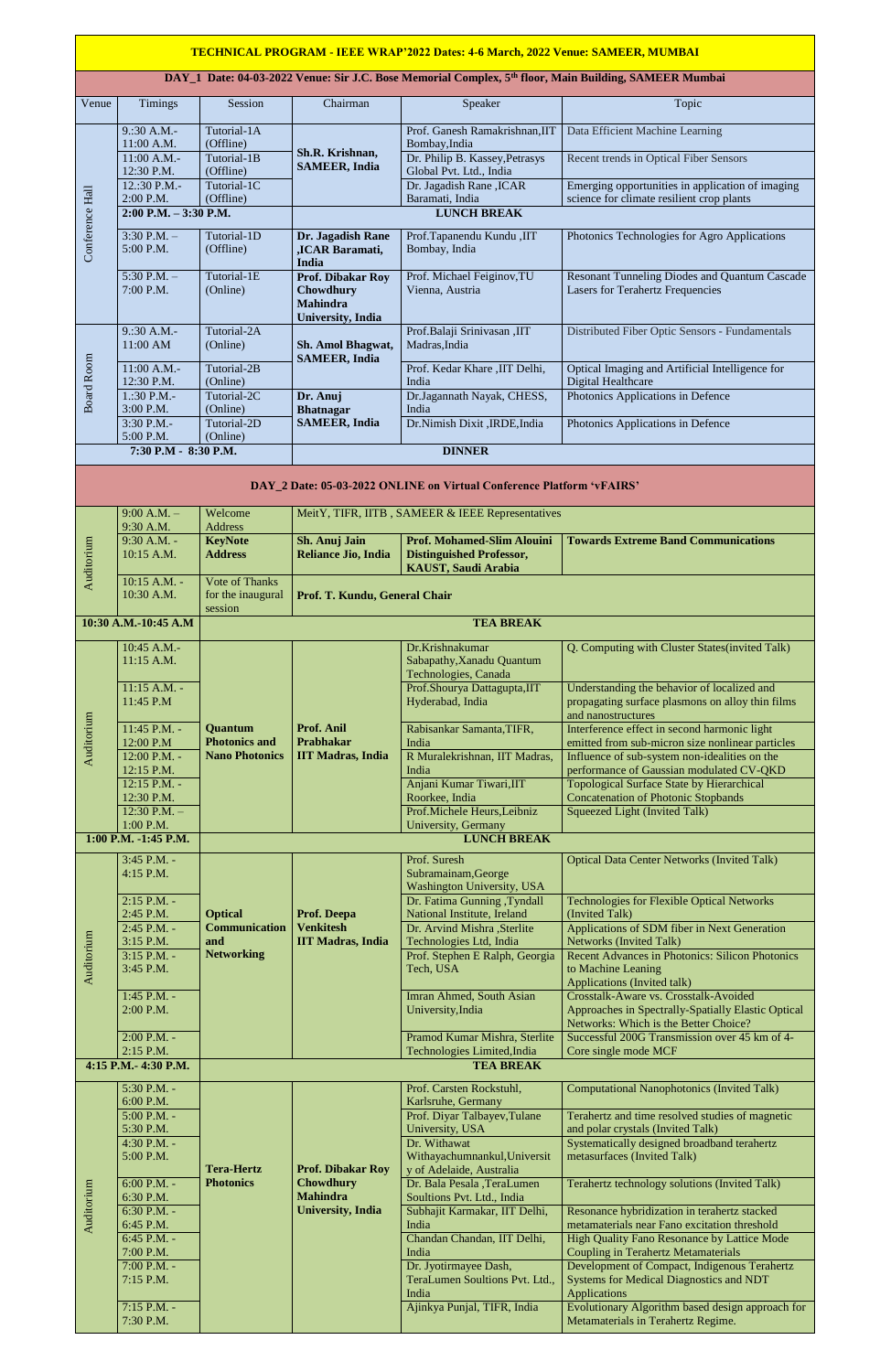## **TECHNICAL PROGRAM - IEEE WRAP'2022 Dates: 4-6 March, 2022 Venue: SAMEER, MUMBAI**

## **DAY\_1 Date: 04-03-2022 Venue: Sir J.C. Bose Memorial Complex, 5th floor, Main Building, SAMEER Mumbai**

| Venue             | <b>Timings</b>                                                        | Session                                                            | Chairman                                                                                     | Speaker                                                                                            | Topic                                                                                          |  |  |  |  |
|-------------------|-----------------------------------------------------------------------|--------------------------------------------------------------------|----------------------------------------------------------------------------------------------|----------------------------------------------------------------------------------------------------|------------------------------------------------------------------------------------------------|--|--|--|--|
|                   |                                                                       |                                                                    |                                                                                              |                                                                                                    |                                                                                                |  |  |  |  |
| Conference Hall   | 9:30 A.M.                                                             | Tutorial-1A                                                        | Sh.R. Krishnan,<br><b>SAMEER, India</b>                                                      | Prof. Ganesh Ramakrishnan, IIT                                                                     | Data Efficient Machine Learning                                                                |  |  |  |  |
|                   | 11:00 A.M.<br>11:00 A.M.-                                             | (Offline)<br>Tutorial-1B                                           |                                                                                              | Bombay, India<br>Dr. Philip B. Kassey, Petrasys                                                    | Recent trends in Optical Fiber Sensors                                                         |  |  |  |  |
|                   | 12:30 P.M.                                                            | (Offline)                                                          |                                                                                              | Global Pvt. Ltd., India                                                                            |                                                                                                |  |  |  |  |
|                   | 12.:30 P.M.-                                                          | Tutorial-1C                                                        |                                                                                              | Dr. Jagadish Rane, ICAR                                                                            | Emerging opportunities in application of imaging                                               |  |  |  |  |
|                   | 2:00 P.M.<br>$2:00$ P.M. $-3:30$ P.M.                                 | (Offline)                                                          |                                                                                              | Baramati, India<br><b>LUNCH BREAK</b>                                                              | science for climate resilient crop plants                                                      |  |  |  |  |
|                   | $3:30$ P.M. $-$                                                       | Tutorial-1D                                                        |                                                                                              |                                                                                                    |                                                                                                |  |  |  |  |
|                   | 5:00 P.M.                                                             | (Offline)                                                          | Dr. Jagadish Rane<br>,ICAR Baramati,<br><b>India</b>                                         | Prof.Tapanendu Kundu, IIT<br>Bombay, India                                                         | Photonics Technologies for Agro Applications                                                   |  |  |  |  |
|                   | $5:30$ P.M. $-$                                                       | Tutorial-1E                                                        | <b>Prof. Dibakar Roy</b>                                                                     | Prof. Michael Feiginov, TU                                                                         | <b>Resonant Tunneling Diodes and Quantum Cascade</b>                                           |  |  |  |  |
|                   | 7:00 P.M.                                                             | (Online)                                                           | <b>Chowdhury</b><br><b>Mahindra</b><br><b>University</b> , India                             | Vienna, Austria                                                                                    | <b>Lasers for Terahertz Frequencies</b>                                                        |  |  |  |  |
|                   | 9:30 A.M.                                                             | Tutorial-2A                                                        | Sh. Amol Bhagwat,<br><b>SAMEER, India</b>                                                    | Prof.Balaji Srinivasan ,IIT                                                                        | Distributed Fiber Optic Sensors - Fundamentals                                                 |  |  |  |  |
|                   | $11:00$ AM                                                            | (Online)<br>Tutorial-2B                                            |                                                                                              | Madras, India                                                                                      |                                                                                                |  |  |  |  |
| <b>Board Room</b> | 11:00 A.M.-                                                           |                                                                    |                                                                                              | Prof. Kedar Khare , IIT Delhi,                                                                     | Optical Imaging and Artificial Intelligence for                                                |  |  |  |  |
|                   | 12:30 P.M.                                                            | (Online)<br>Tutorial-2C<br>(Online)<br>Tutorial-2D                 | Dr. Anuj<br><b>Bhatnagar</b><br><b>SAMEER, India</b>                                         | India                                                                                              | Digital Healthcare                                                                             |  |  |  |  |
|                   | $1:30$ P.M.-<br>3:00 P.M.                                             |                                                                    |                                                                                              | Dr.Jagannath Nayak, CHESS,<br>India                                                                | Photonics Applications in Defence                                                              |  |  |  |  |
|                   | 3:30 P.M.-                                                            |                                                                    |                                                                                              | Dr.Nimish Dixit , IRDE, India                                                                      | Photonics Applications in Defence                                                              |  |  |  |  |
|                   | 5:00 P.M.                                                             | (Online)                                                           |                                                                                              |                                                                                                    |                                                                                                |  |  |  |  |
|                   | 7:30 P.M - 8:30 P.M.                                                  |                                                                    |                                                                                              | <b>DINNER</b>                                                                                      |                                                                                                |  |  |  |  |
|                   | DAY_2 Date: 05-03-2022 ONLINE on Virtual Conference Platform 'vFAIRS' |                                                                    |                                                                                              |                                                                                                    |                                                                                                |  |  |  |  |
|                   | $9:00 A.M. -$                                                         | MeitY, TIFR, IITB, SAMEER & IEEE Representatives<br>Welcome        |                                                                                              |                                                                                                    |                                                                                                |  |  |  |  |
|                   | 9:30 A.M.                                                             | <b>Address</b>                                                     |                                                                                              |                                                                                                    |                                                                                                |  |  |  |  |
| Auditorium        | 9:30 A.M. -<br>10:15 A.M.                                             | <b>KeyNote</b><br><b>Address</b>                                   | Sh. Anuj Jain<br><b>Reliance Jio, India</b>                                                  | <b>Prof. Mohamed-Slim Alouini</b><br><b>Distinguished Professor,</b><br><b>KAUST, Saudi Arabia</b> | <b>Towards Extreme Band Communications</b>                                                     |  |  |  |  |
|                   | 10:15 A.M. -                                                          | <b>Vote of Thanks</b>                                              |                                                                                              |                                                                                                    |                                                                                                |  |  |  |  |
|                   | 10:30 A.M.                                                            | for the inaugural                                                  | Prof. T. Kundu, General Chair                                                                |                                                                                                    |                                                                                                |  |  |  |  |
|                   | 10:30 A.M.-10:45 A.M                                                  | session<br><b>TEA BREAK</b>                                        |                                                                                              |                                                                                                    |                                                                                                |  |  |  |  |
|                   |                                                                       |                                                                    |                                                                                              |                                                                                                    |                                                                                                |  |  |  |  |
|                   | 10:45 A.M.-<br>11:15 A.M.                                             | <b>Quantum</b><br><b>Photonics and</b><br><b>Nano Photonics</b>    | Prof. Anil<br><b>Prabhakar</b><br><b>IIT Madras, India</b>                                   | Dr.Krishnakumar<br>Sabapathy, Xanadu Quantum<br>Technologies, Canada                               | Q. Computing with Cluster States (invited Talk)                                                |  |  |  |  |
|                   | $11:15$ A.M. -                                                        |                                                                    |                                                                                              | Prof.Shourya Dattagupta, IIT                                                                       | Understanding the behavior of localized and                                                    |  |  |  |  |
|                   | 11:45 P.M                                                             |                                                                    |                                                                                              | Hyderabad, India                                                                                   | propagating surface plasmons on alloy thin films<br>and nanostructures                         |  |  |  |  |
|                   | 11:45 P.M. -                                                          |                                                                    |                                                                                              | Rabisankar Samanta, TIFR,                                                                          | Interference effect in second harmonic light                                                   |  |  |  |  |
| Auditorium        | 12:00 P.M                                                             |                                                                    |                                                                                              | India                                                                                              | emitted from sub-micron size nonlinear particles                                               |  |  |  |  |
|                   | 12:00 P.M. -<br>12:15 P.M.                                            |                                                                    |                                                                                              | R Muralekrishnan, IIT Madras,<br>India                                                             | Influence of sub-system non-idealities on the<br>performance of Gaussian modulated CV-QKD      |  |  |  |  |
|                   | 12:15 P.M. -                                                          |                                                                    |                                                                                              | Anjani Kumar Tiwari, IIT                                                                           | <b>Topological Surface State by Hierarchical</b>                                               |  |  |  |  |
|                   | 12:30 P.M.                                                            |                                                                    |                                                                                              | Roorkee, India                                                                                     | <b>Concatenation of Photonic Stopbands</b>                                                     |  |  |  |  |
|                   | $12:30$ P.M. $-$<br>1:00 P.M.                                         |                                                                    |                                                                                              | Prof.Michele Heurs, Leibniz<br>University, Germany                                                 | Squeezed Light (Invited Talk)                                                                  |  |  |  |  |
|                   | 1:00 P.M. -1:45 P.M.                                                  |                                                                    |                                                                                              | <b>LUNCH BREAK</b>                                                                                 |                                                                                                |  |  |  |  |
|                   | 3:45 P.M. -                                                           |                                                                    |                                                                                              | Prof. Suresh                                                                                       | <b>Optical Data Center Networks (Invited Talk)</b>                                             |  |  |  |  |
|                   | 4:15 P.M.                                                             | <b>Optical</b><br><b>Communication</b><br>and<br><b>Networking</b> | <b>Prof. Deepa</b><br><b>Venkitesh</b><br><b>IIT Madras, India</b>                           | Subramainam, George                                                                                |                                                                                                |  |  |  |  |
|                   | 2:15 P.M. -                                                           |                                                                    |                                                                                              | Washington University, USA<br>Dr. Fatima Gunning , Tyndall                                         | <b>Technologies for Flexible Optical Networks</b>                                              |  |  |  |  |
| Auditorium        | 2:45 P.M.                                                             |                                                                    |                                                                                              | <b>National Institute, Ireland</b>                                                                 | (Invited Talk)                                                                                 |  |  |  |  |
|                   | 2:45 P.M. -<br>3:15 P.M.                                              |                                                                    |                                                                                              | Dr. Arvind Mishra , Sterlite                                                                       | Applications of SDM fiber in Next Generation<br><b>Networks (Invited Talk)</b>                 |  |  |  |  |
|                   | 3:15 P.M. -                                                           |                                                                    |                                                                                              | Technologies Ltd, India<br>Prof. Stephen E Ralph, Georgia                                          | Recent Advances in Photonics: Silicon Photonics                                                |  |  |  |  |
|                   | 3:45 P.M.                                                             |                                                                    |                                                                                              | Tech, USA                                                                                          | to Machine Leaning                                                                             |  |  |  |  |
|                   | $1:45$ P.M. -                                                         |                                                                    |                                                                                              | <b>Imran Ahmed, South Asian</b>                                                                    | <b>Applications (Invited talk)</b><br>Crosstalk-Aware vs. Crosstalk-Avoided                    |  |  |  |  |
|                   | 2:00 P.M.                                                             |                                                                    |                                                                                              | University, India                                                                                  | Approaches in Spectrally-Spatially Elastic Optical                                             |  |  |  |  |
|                   | $2:00$ P.M. -                                                         |                                                                    |                                                                                              | Pramod Kumar Mishra, Sterlite                                                                      | Networks: Which is the Better Choice?<br>Successful 200G Transmission over 45 km of 4-         |  |  |  |  |
|                   | 2:15 P.M.                                                             |                                                                    |                                                                                              | Technologies Limited, India                                                                        | Core single mode MCF                                                                           |  |  |  |  |
|                   | 4:15 P.M.- 4:30 P.M.                                                  |                                                                    |                                                                                              | <b>TEA BREAK</b>                                                                                   |                                                                                                |  |  |  |  |
|                   | 5:30 P.M. -                                                           |                                                                    |                                                                                              | Prof. Carsten Rockstuhl,                                                                           | <b>Computational Nanophotonics (Invited Talk)</b>                                              |  |  |  |  |
|                   | 6:00 P.M.                                                             | <b>Tera-Hertz</b><br><b>Photonics</b>                              | <b>Prof. Dibakar Roy</b><br><b>Chowdhury</b><br><b>Mahindra</b><br><b>University</b> , India | Karlsruhe, Germany                                                                                 |                                                                                                |  |  |  |  |
|                   | $5:00$ P.M. -<br>5:30 P.M.                                            |                                                                    |                                                                                              | Prof. Diyar Talbayev, Tulane<br>University, USA                                                    | Terahertz and time resolved studies of magnetic<br>and polar crystals (Invited Talk)           |  |  |  |  |
| Auditorium        | 4:30 P.M. -                                                           |                                                                    |                                                                                              | Dr. Withawat                                                                                       | Systematically designed broadband terahertz                                                    |  |  |  |  |
|                   | 5:00 P.M.                                                             |                                                                    |                                                                                              | Withayachumnankul, Universit<br>y of Adelaide, Australia                                           | metasurfaces (Invited Talk)                                                                    |  |  |  |  |
|                   | $6:00$ P.M. -<br>6:30 P.M.                                            |                                                                    |                                                                                              | Dr. Bala Pesala ,TeraLumen<br>Soultions Pvt. Ltd., India                                           | Terahertz technology solutions (Invited Talk)                                                  |  |  |  |  |
|                   | 6:30 P.M. -                                                           |                                                                    |                                                                                              | Subhajit Karmakar, IIT Delhi,                                                                      | Resonance hybridization in terahertz stacked                                                   |  |  |  |  |
|                   | 6:45 P.M.<br>6:45 P.M. -                                              |                                                                    |                                                                                              | India<br>Chandan Chandan, IIT Delhi,                                                               | metamaterials near Fano excitation threshold<br>High Quality Fano Resonance by Lattice Mode    |  |  |  |  |
|                   | 7:00 P.M.                                                             |                                                                    |                                                                                              | India                                                                                              | <b>Coupling in Terahertz Metamaterials</b>                                                     |  |  |  |  |
|                   | $7:00$ P.M. -<br>7:15 P.M.                                            |                                                                    |                                                                                              | Dr. Jyotirmayee Dash,<br>TeraLumen Soultions Pvt. Ltd.,                                            | Development of Compact, Indigenous Terahertz<br><b>Systems for Medical Diagnostics and NDT</b> |  |  |  |  |
|                   |                                                                       |                                                                    |                                                                                              | India                                                                                              | Applications                                                                                   |  |  |  |  |
|                   | 7:15 P.M. -<br>7:30 P.M.                                              |                                                                    |                                                                                              | Ajinkya Punjal, TIFR, India                                                                        | Evolutionary Algorithm based design approach for<br>Metamaterials in Terahertz Regime.         |  |  |  |  |